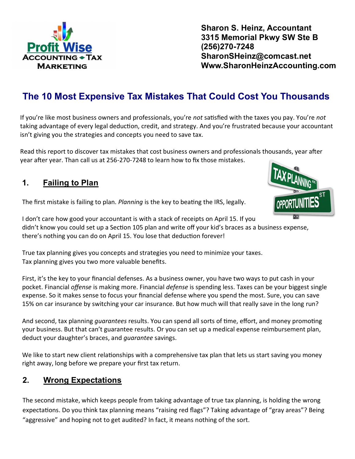

If you're like most business owners and professionals, you're *not* satisfied with the taxes you pay. You're *not* taking advantage of every legal deduction, credit, and strategy. And you're frustrated because your accountant isn't giving you the strategies and concepts you need to save tax.

Read this report to discover tax mistakes that cost business owners and professionals thousands, year after year after year. Than call us at 256-270-7248 to learn how to fix those mistakes.

#### **1. Failing to Plan**

The first mistake is failing to plan. *Planning* is the key to beating the IRS, legally.

I don't care how good your accountant is with a stack of receipts on April 15. If you didn't know you could set up a Section 105 plan and write off your kid's braces as a business expense, there's nothing you can do on April 15. You lose that deduction forever!

True tax planning gives you concepts and strategies you need to minimize your taxes. Tax planning gives you two more valuable benefits.

First, it's the key to your financial defenses. As a business owner, you have two ways to put cash in your pocket. Financial *offense* is making more. Financial *defense* is spending less. Taxes can be your biggest single expense. So it makes sense to focus your financial defense where you spend the most. Sure, you can save 15% on car insurance by switching your car insurance. But how much will that really save in the long run?

And second, tax planning *guarantees* results. You can spend all sorts of time, effort, and money promoting your business. But that can't guarantee results. Or you can set up a medical expense reimbursement plan, deduct your daughter's braces, and *guarantee* savings.

We like to start new client relationships with a comprehensive tax plan that lets us start saving you money right away, long before we prepare your first tax return.

#### **2. Wrong Expectations**

The second mistake, which keeps people from taking advantage of true tax planning, is holding the wrong expectations. Do you think tax planning means "raising red flags"? Taking advantage of "gray areas"? Being "aggressive" and hoping not to get audited? In fact, it means nothing of the sort.





**Sharon S. Heinz, Accountant 3315 Memorial Pkwy SW Ste B (256)270-7248 SharonSHeinz@comcast.net Www.SharonHeinzAccounting.com**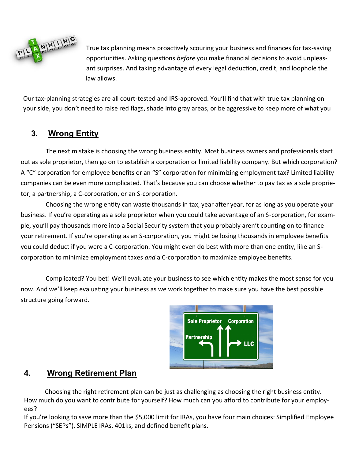

True tax planning means proactively scouring your business and finances for tax-saving opportunities. Asking questions *before* you make financial decisions to avoid unpleasant surprises. And taking advantage of every legal deduction, credit, and loophole the law allows.

Our tax-planning strategies are all court-tested and IRS-approved. You'll find that with true tax planning on your side, you don't need to raise red flags, shade into gray areas, or be aggressive to keep more of what you

## **3. Wrong Entity**

The next mistake is choosing the wrong business entity. Most business owners and professionals start out as sole proprietor, then go on to establish a corporation or limited liability company. But which corporation? A "C" corporation for employee benefits or an "S" corporation for minimizing employment tax? Limited liability companies can be even more complicated. That's because you can choose whether to pay tax as a sole proprietor, a partnership, a C-corporation, or an S-corporation.

Choosing the wrong entity can waste thousands in tax, year after year, for as long as you operate your business. If you're operating as a sole proprietor when you could take advantage of an S-corporation, for example, you'll pay thousands more into a Social Security system that you probably aren't counting on to finance your retirement. If you're operating as an S-corporation, you might be losing thousands in employee benefits you could deduct if you were a C-corporation. You might even do best with more than one entity, like an Scorporation to minimize employment taxes *and* a C-corporation to maximize employee benefits.

Complicated? You bet! We'll evaluate your business to see which entity makes the most sense for you now. And we'll keep evaluating your business as we work together to make sure you have the best possible structure going forward.



#### **4. Wrong Retirement Plan**

Choosing the right retirement plan can be just as challenging as choosing the right business entity. How much do you want to contribute for yourself? How much can you afford to contribute for your employees?

If you're looking to save more than the \$5,000 limit for IRAs, you have four main choices: Simplified Employee Pensions ("SEPs"), SIMPLE IRAs, 401ks, and defined benefit plans.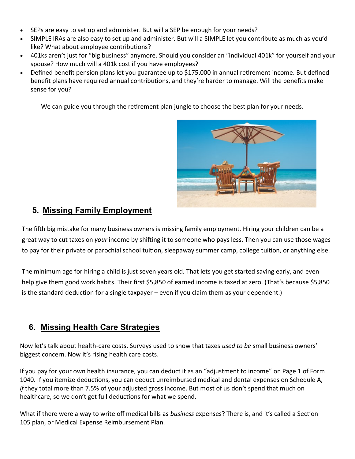- SEPs are easy to set up and administer. But will a SEP be enough for your needs?
- SIMPLE IRAs are also easy to set up and administer. But will a SIMPLE let you contribute as much as you'd like? What about employee contributions?
- 401ks aren't just for "big business" anymore. Should you consider an "individual 401k" for yourself and your spouse? How much will a 401k cost if you have employees?
- Defined benefit pension plans let you guarantee up to \$175,000 in annual retirement income. But defined benefit plans have required annual contributions, and they're harder to manage. Will the benefits make sense for you?

We can guide you through the retirement plan jungle to choose the best plan for your needs.



#### **5. Missing Family Employment**

The fifth big mistake for many business owners is missing family employment. Hiring your children can be a great way to cut taxes on *your* income by shifting it to someone who pays less. Then you can use those wages to pay for their private or parochial school tuition, sleepaway summer camp, college tuition, or anything else.

The minimum age for hiring a child is just seven years old. That lets you get started saving early, and even help give them good work habits. Their first \$5,850 of earned income is taxed at zero. (That's because \$5,850 is the standard deduction for a single taxpayer – even if you claim them as your dependent.)

#### **6. Missing Health Care Strategies**

Now let's talk about health-care costs. Surveys used to show that taxes *used to be* small business owners' biggest concern. Now it's rising health care costs.

If you pay for your own health insurance, you can deduct it as an "adjustment to income" on Page 1 of Form 1040. If you itemize deductions, you can deduct unreimbursed medical and dental expenses on Schedule A, *if* they total more than 7.5% of your adjusted gross income. But most of us don't spend that much on healthcare, so we don't get full deductions for what we spend.

What if there were a way to write off medical bills as *business* expenses? There is, and it's called a Section 105 plan, or Medical Expense Reimbursement Plan.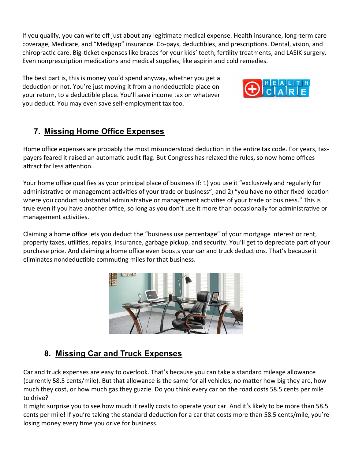If you qualify, you can write off just about any legitimate medical expense. Health insurance, long-term care coverage, Medicare, and "Medigap" insurance. Co-pays, deductibles, and prescriptions. Dental, vision, and chiropractic care. Big-ticket expenses like braces for your kids' teeth, fertility treatments, and LASIK surgery. Even nonprescription medications and medical supplies, like aspirin and cold remedies.

The best part is, this is money you'd spend anyway, whether you get a deduction or not. You're just moving it from a nondeductible place on your return, to a deductible place. You'll save income tax on whatever you deduct. You may even save self-employment tax too.



# **7. Missing Home Office Expenses**

Home office expenses are probably the most misunderstood deduction in the entire tax code. For years, taxpayers feared it raised an automatic audit flag. But Congress has relaxed the rules, so now home offices attract far less attention.

Your home office qualifies as your principal place of business if: 1) you use it "exclusively and regularly for administrative or management activities of your trade or business"; and 2) "you have no other fixed location where you conduct substantial administrative or management activities of your trade or business." This is true even if you have another office, so long as you don't use it more than occasionally for administrative or management activities.

Claiming a home office lets you deduct the "business use percentage" of your mortgage interest or rent, property taxes, utilities, repairs, insurance, garbage pickup, and security. You'll get to depreciate part of your purchase price. And claiming a home office even boosts your car and truck deductions. That's because it eliminates nondeductible commuting miles for that business.



# **8. Missing Car and Truck Expenses**

Car and truck expenses are easy to overlook. That's because you can take a standard mileage allowance (currently 58.5 cents/mile). But that allowance is the same for all vehicles, no matter how big they are, how much they cost, or how much gas they guzzle. Do you think every car on the road costs 58.5 cents per mile to drive?

It might surprise you to see how much it really costs to operate your car. And it's likely to be more than 58.5 cents per mile! If you're taking the standard deduction for a car that costs more than 58.5 cents/mile, you're losing money every time you drive for business.